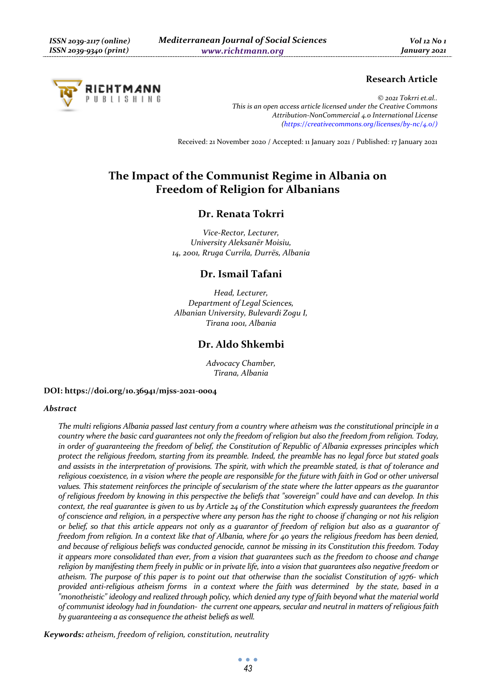# RICHTMANN UBLISHING

# **Research Article**

*© 2021 Tokrri et.al.. This is an open access article licensed under the Creative Commons Attribution-NonCommercial 4.0 International License (https://creativecommons.org/licenses/by-nc/4.0/)*

Received: 21 November 2020 / Accepted: 11 January 2021 / Published: 17 January 2021

# **The Impact of the Communist Regime in Albania on Freedom of Religion for Albanians**

# **Dr. Renata Tokrri**

*Vice-Rector, Lecturer, University Aleksanër Moisiu, 14, 2001, Rruga Currila, Durrës, Albania* 

# **Dr. Ismail Tafani**

*Head, Lecturer, Department of Legal Sciences, Albanian University, Bulevardi Zogu I, Tirana 1001, Albania* 

# **Dr. Aldo Shkembi**

*Advocacy Chamber, Tirana, Albania* 

#### **DOI: https://doi.org/10.36941/mjss-2021-0004**

#### *Abstract*

*The multi religions Albania passed last century from a country where atheism was the constitutional principle in a country where the basic card guarantees not only the freedom of religion but also the freedom from religion. Today, in order of guaranteeing the freedom of belief, the Constitution of Republic of Albania expresses principles which protect the religious freedom, starting from its preamble. Indeed, the preamble has no legal force but stated goals and assists in the interpretation of provisions. The spirit, with which the preamble stated, is that of tolerance and religious coexistence, in a vision where the people are responsible for the future with faith in God or other universal values. This statement reinforces the principle of secularism of the state where the latter appears as the guarantor of religious freedom by knowing in this perspective the beliefs that "sovereign" could have and can develop. In this context, the real guarantee is given to us by Article 24 of the Constitution which expressly guarantees the freedom of conscience and religion, in a perspective where any person has the right to choose if changing or not his religion or belief, so that this article appears not only as a guarantor of freedom of religion but also as a guarantor of freedom from religion. In a context like that of Albania, where for 40 years the religious freedom has been denied, and because of religious beliefs was conducted genocide, cannot be missing in its Constitution this freedom. Today it appears more consolidated than ever, from a vision that guarantees such as the freedom to choose and change religion by manifesting them freely in public or in private life, into a vision that guarantees also negative freedom or atheism. The purpose of this paper is to point out that otherwise than the socialist Constitution of 1976- which provided anti-religious atheism forms in a context where the faith was determined by the state, based in a "monotheistic" ideology and realized through policy, which denied any type of faith beyond what the material world of communist ideology had in foundation- the current one appears, secular and neutral in matters of religious faith by guaranteeing a as consequence the atheist beliefs as well.* 

*Keywords: atheism, freedom of religion, constitution, neutrality*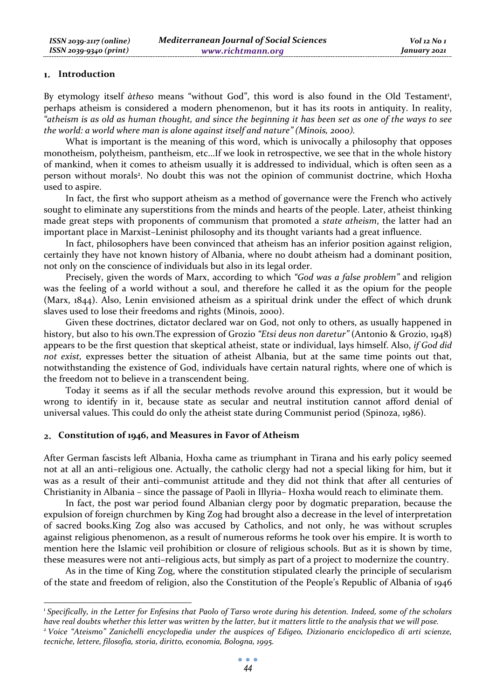#### **Introduction**

By etymology itself àtheso means "without God", this word is also found in the Old Testament<sup>1</sup>, perhaps atheism is considered a modern phenomenon, but it has its roots in antiquity. In reality, *"atheism is as old as human thought, and since the beginning it has been set as one of the ways to see the world: a world where man is alone against itself and nature" (Minois, 2000).*

What is important is the meaning of this word, which is univocally a philosophy that opposes monotheism, polytheism, pantheism, etc...If we look in retrospective, we see that in the whole history of mankind, when it comes to atheism usually it is addressed to individual, which is often seen as a person without morals<sup>2</sup>. No doubt this was not the opinion of communist doctrine, which Hoxha used to aspire.

In fact, the first who support atheism as a method of governance were the French who actively sought to eliminate any superstitions from the minds and hearts of the people. Later, atheist thinking made great steps with proponents of communism that promoted a *state atheism*, the latter had an important place in Marxist–Leninist philosophy and its thought variants had a great influence.

In fact, philosophers have been convinced that atheism has an inferior position against religion, certainly they have not known history of Albania, where no doubt atheism had a dominant position, not only on the conscience of individuals but also in its legal order.

Precisely, given the words of Marx, according to which *"God was a false problem"* and religion was the feeling of a world without a soul, and therefore he called it as the opium for the people (Marx, 1844). Also, Lenin envisioned atheism as a spiritual drink under the effect of which drunk slaves used to lose their freedoms and rights (Minois, 2000).

Given these doctrines, dictator declared war on God, not only to others, as usually happened in history, but also to his own.The expression of Grozio *"Etsi deus non daretur"* (Antonio & Grozio, 1948) appears to be the first question that skeptical atheist, state or individual, lays himself. Also, *if God did not exist,* expresses better the situation of atheist Albania, but at the same time points out that, notwithstanding the existence of God, individuals have certain natural rights, where one of which is the freedom not to believe in a transcendent being.

Today it seems as if all the secular methods revolve around this expression, but it would be wrong to identify in it, because state as secular and neutral institution cannot afford denial of universal values. This could do only the atheist state during Communist period (Spinoza, 1986).

#### **Constitution of 1946, and Measures in Favor of Atheism**

After German fascists left Albania, Hoxha came as triumphant in Tirana and his early policy seemed not at all an anti–religious one. Actually, the catholic clergy had not a special liking for him, but it was as a result of their anti–communist attitude and they did not think that after all centuries of Christianity in Albania – since the passage of Paoli in Illyria– Hoxha would reach to eliminate them.

In fact, the post war period found Albanian clergy poor by dogmatic preparation, because the expulsion of foreign churchmen by King Zog had brought also a decrease in the level of interpretation of sacred books.King Zog also was accused by Catholics, and not only, he was without scruples against religious phenomenon, as a result of numerous reforms he took over his empire. It is worth to mention here the Islamic veil prohibition or closure of religious schools. But as it is shown by time, these measures were not anti–religious acts, but simply as part of a project to modernize the country.

As in the time of King Zog, where the constitution stipulated clearly the principle of secularism of the state and freedom of religion, also the Constitution of the People's Republic of Albania of 1946

*<sup>1</sup> Specifically, in the Letter for Enfesins that Paolo of Tarso wrote during his detention. Indeed, some of the scholars have real doubts whether this letter was written by the latter, but it matters little to the analysis that we will pose. 2*

*Voice "Ateismo" Zanichelli encyclopedia under the auspices of Edigeo, Dizionario enciclopedico di arti scienze, tecniche, lettere, filosofia, storia, diritto, economia, Bologna, 1995.*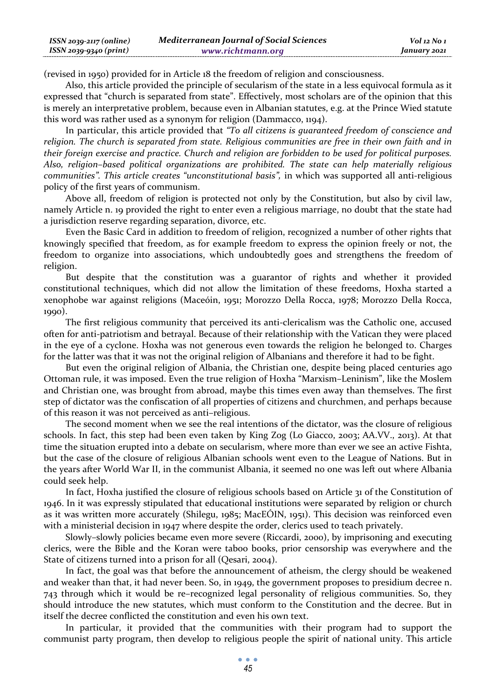| $ISSN 2039-2117 (online)$ | <b>Mediterranean Journal of Social Sciences</b> | Vol 12 No 1  |
|---------------------------|-------------------------------------------------|--------------|
| ISSN 2039-9340 (print)    | www.richtmann.org                               | January 2021 |

(revised in 1950) provided for in Article 18 the freedom of religion and consciousness.

Also, this article provided the principle of secularism of the state in a less equivocal formula as it expressed that "church is separated from state". Effectively, most scholars are of the opinion that this is merely an interpretative problem, because even in Albanian statutes, e.g. at the Prince Wied statute this word was rather used as a synonym for religion (Dammacco, 1194).

In particular, this article provided that *"To all citizens is guaranteed freedom of conscience and religion. The church is separated from state. Religious communities are free in their own faith and in their foreign exercise and practice. Church and religion are forbidden to be used for political purposes. Also, religion–based political organizations are prohibited. The state can help materially religious communities". This article creates "unconstitutional basis",* in which was supported all anti-religious policy of the first years of communism.

Above all, freedom of religion is protected not only by the Constitution, but also by civil law, namely Article n. 19 provided the right to enter even a religious marriage, no doubt that the state had a jurisdiction reserve regarding separation, divorce, etc.

Even the Basic Card in addition to freedom of religion, recognized a number of other rights that knowingly specified that freedom, as for example freedom to express the opinion freely or not, the freedom to organize into associations, which undoubtedly goes and strengthens the freedom of religion.

But despite that the constitution was a guarantor of rights and whether it provided constitutional techniques, which did not allow the limitation of these freedoms, Hoxha started a xenophobe war against religions (Maceóin, 1951; Morozzo Della Rocca, 1978; Morozzo Della Rocca, 1990).

The first religious community that perceived its anti-clericalism was the Catholic one, accused often for anti-patriotism and betrayal. Because of their relationship with the Vatican they were placed in the eye of a cyclone. Hoxha was not generous even towards the religion he belonged to. Charges for the latter was that it was not the original religion of Albanians and therefore it had to be fight.

But even the original religion of Albania, the Christian one, despite being placed centuries ago Ottoman rule, it was imposed. Even the true religion of Hoxha "Marxism–Leninism", like the Moslem and Christian one, was brought from abroad, maybe this times even away than themselves. The first step of dictator was the confiscation of all properties of citizens and churchmen, and perhaps because of this reason it was not perceived as anti–religious.

The second moment when we see the real intentions of the dictator, was the closure of religious schools. In fact, this step had been even taken by King Zog (Lo Giacco, 2003; AA.VV., 2013). At that time the situation erupted into a debate on secularism, where more than ever we see an active Fishta, but the case of the closure of religious Albanian schools went even to the League of Nations. But in the years after World War II, in the communist Albania, it seemed no one was left out where Albania could seek help.

In fact, Hoxha justified the closure of religious schools based on Article 31 of the Constitution of 1946. In it was expressly stipulated that educational institutions were separated by religion or church as it was written more accurately (Shilegu, 1985; MacEÓIN, 1951). This decision was reinforced even with a ministerial decision in 1947 where despite the order, clerics used to teach privately.

Slowly–slowly policies became even more severe (Riccardi, 2000), by imprisoning and executing clerics, were the Bible and the Koran were taboo books, prior censorship was everywhere and the State of citizens turned into a prison for all (Qesari, 2004).

In fact, the goal was that before the announcement of atheism, the clergy should be weakened and weaker than that, it had never been. So, in 1949, the government proposes to presidium decree n. 743 through which it would be re–recognized legal personality of religious communities. So, they should introduce the new statutes, which must conform to the Constitution and the decree. But in itself the decree conflicted the constitution and even his own text.

In particular, it provided that the communities with their program had to support the communist party program, then develop to religious people the spirit of national unity. This article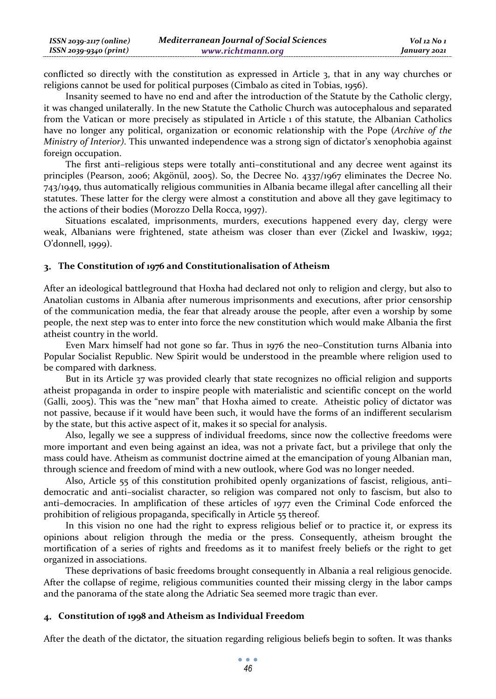| $ISSN 2039-2117 (online)$ | <b>Mediterranean Journal of Social Sciences</b> | Vol 12 No 1  |
|---------------------------|-------------------------------------------------|--------------|
| ISSN 2039-9340 (print)    | www.richtmann.org                               | January 2021 |

conflicted so directly with the constitution as expressed in Article 3, that in any way churches or religions cannot be used for political purposes (Cimbalo as cited in Tobias, 1956).

Insanity seemed to have no end and after the introduction of the Statute by the Catholic clergy, it was changed unilaterally. In the new Statute the Catholic Church was autocephalous and separated from the Vatican or more precisely as stipulated in Article 1 of this statute, the Albanian Catholics have no longer any political, organization or economic relationship with the Pope (*Archive of the Ministry of Interior)*. This unwanted independence was a strong sign of dictator's xenophobia against foreign occupation.

The first anti–religious steps were totally anti–constitutional and any decree went against its principles (Pearson, 2006; Akgönül, 2005). So, the Decree No. 4337/1967 eliminates the Decree No. 743/1949, thus automatically religious communities in Albania became illegal after cancelling all their statutes. These latter for the clergy were almost a constitution and above all they gave legitimacy to the actions of their bodies (Morozzo Della Rocca, 1997).

Situations escalated, imprisonments, murders, executions happened every day, clergy were weak, Albanians were frightened, state atheism was closer than ever (Zickel and Iwaskiw, 1992; O'donnell, 1999).

#### **The Constitution of 1976 and Constitutionalisation of Atheism**

After an ideological battleground that Hoxha had declared not only to religion and clergy, but also to Anatolian customs in Albania after numerous imprisonments and executions, after prior censorship of the communication media, the fear that already arouse the people, after even a worship by some people, the next step was to enter into force the new constitution which would make Albania the first atheist country in the world.

Even Marx himself had not gone so far. Thus in 1976 the neo–Constitution turns Albania into Popular Socialist Republic. New Spirit would be understood in the preamble where religion used to be compared with darkness.

But in its Article 37 was provided clearly that state recognizes no official religion and supports atheist propaganda in order to inspire people with materialistic and scientific concept on the world (Galli, 2005). This was the "new man" that Hoxha aimed to create. Atheistic policy of dictator was not passive, because if it would have been such, it would have the forms of an indifferent secularism by the state, but this active aspect of it, makes it so special for analysis.

Also, legally we see a suppress of individual freedoms, since now the collective freedoms were more important and even being against an idea, was not a private fact, but a privilege that only the mass could have. Atheism as communist doctrine aimed at the emancipation of young Albanian man, through science and freedom of mind with a new outlook, where God was no longer needed.

Also, Article 55 of this constitution prohibited openly organizations of fascist, religious, anti– democratic and anti–socialist character, so religion was compared not only to fascism, but also to anti–democracies. In amplification of these articles of 1977 even the Criminal Code enforced the prohibition of religious propaganda, specifically in Article 55 thereof.

In this vision no one had the right to express religious belief or to practice it, or express its opinions about religion through the media or the press. Consequently, atheism brought the mortification of a series of rights and freedoms as it to manifest freely beliefs or the right to get organized in associations.

These deprivations of basic freedoms brought consequently in Albania a real religious genocide. After the collapse of regime, religious communities counted their missing clergy in the labor camps and the panorama of the state along the Adriatic Sea seemed more tragic than ever.

## **Constitution of 1998 and Atheism as Individual Freedom**

After the death of the dictator, the situation regarding religious beliefs begin to soften. It was thanks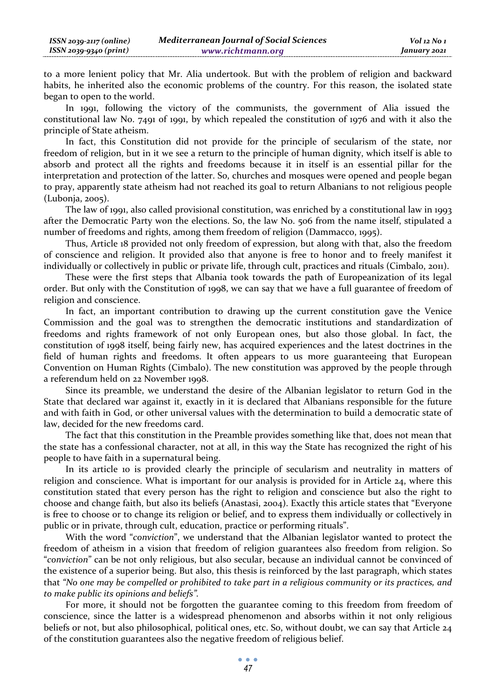to a more lenient policy that Mr. Alia undertook. But with the problem of religion and backward habits, he inherited also the economic problems of the country. For this reason, the isolated state began to open to the world.

In 1991, following the victory of the communists, the government of Alia issued the constitutional law No. 7491 of 1991, by which repealed the constitution of 1976 and with it also the principle of State atheism.

In fact, this Constitution did not provide for the principle of secularism of the state, nor freedom of religion, but in it we see a return to the principle of human dignity, which itself is able to absorb and protect all the rights and freedoms because it in itself is an essential pillar for the interpretation and protection of the latter. So, churches and mosques were opened and people began to pray, apparently state atheism had not reached its goal to return Albanians to not religious people (Lubonja, 2005).

The law of 1991, also called provisional constitution, was enriched by a constitutional law in 1993 after the Democratic Party won the elections. So, the law No. 506 from the name itself, stipulated a number of freedoms and rights, among them freedom of religion (Dammacco, 1995).

Thus, Article 18 provided not only freedom of expression, but along with that, also the freedom of conscience and religion. It provided also that anyone is free to honor and to freely manifest it individually or collectively in public or private life, through cult, practices and rituals (Cimbalo, 2011).

These were the first steps that Albania took towards the path of Europeanization of its legal order. But only with the Constitution of 1998, we can say that we have a full guarantee of freedom of religion and conscience.

In fact, an important contribution to drawing up the current constitution gave the Venice Commission and the goal was to strengthen the democratic institutions and standardization of freedoms and rights framework of not only European ones, but also those global. In fact, the constitution of 1998 itself, being fairly new, has acquired experiences and the latest doctrines in the field of human rights and freedoms. It often appears to us more guaranteeing that European Convention on Human Rights (Cimbalo). The new constitution was approved by the people through a referendum held on 22 November 1998.

Since its preamble, we understand the desire of the Albanian legislator to return God in the State that declared war against it, exactly in it is declared that Albanians responsible for the future and with faith in God, or other universal values with the determination to build a democratic state of law, decided for the new freedoms card.

The fact that this constitution in the Preamble provides something like that, does not mean that the state has a confessional character, not at all, in this way the State has recognized the right of his people to have faith in a supernatural being.

In its article 10 is provided clearly the principle of secularism and neutrality in matters of religion and conscience. What is important for our analysis is provided for in Article 24, where this constitution stated that every person has the right to religion and conscience but also the right to choose and change faith, but also its beliefs (Anastasi, 2004). Exactly this article states that "Everyone is free to choose or to change its religion or belief, and to express them individually or collectively in public or in private, through cult, education, practice or performing rituals".

With the word "*conviction*", we understand that the Albanian legislator wanted to protect the freedom of atheism in a vision that freedom of religion guarantees also freedom from religion. So "*conviction*" can be not only religious, but also secular, because an individual cannot be convinced of the existence of a superior being. But also, this thesis is reinforced by the last paragraph, which states that *"No one may be compelled or prohibited to take part in a religious community or its practices, and to make public its opinions and beliefs".*

For more, it should not be forgotten the guarantee coming to this freedom from freedom of conscience, since the latter is a widespread phenomenon and absorbs within it not only religious beliefs or not, but also philosophical, political ones, etc. So, without doubt, we can say that Article 24 of the constitution guarantees also the negative freedom of religious belief.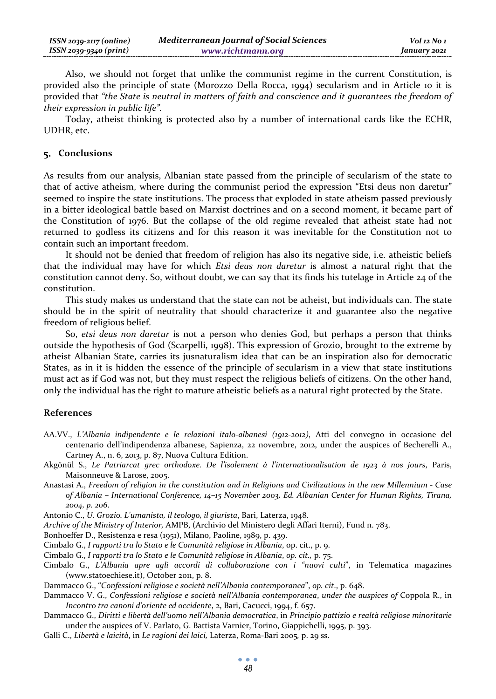Also, we should not forget that unlike the communist regime in the current Constitution, is provided also the principle of state (Morozzo Della Rocca, 1994) secularism and in Article 10 it is provided that *"the State is neutral in matters of faith and conscience and it guarantees the freedom of their expression in public life".*

Today, atheist thinking is protected also by a number of international cards like the ECHR, UDHR, etc.

#### **Conclusions**

As results from our analysis, Albanian state passed from the principle of secularism of the state to that of active atheism, where during the communist period the expression "Etsi deus non daretur" seemed to inspire the state institutions. The process that exploded in state atheism passed previously in a bitter ideological battle based on Marxist doctrines and on a second moment, it became part of the Constitution of 1976. But the collapse of the old regime revealed that atheist state had not returned to godless its citizens and for this reason it was inevitable for the Constitution not to contain such an important freedom.

It should not be denied that freedom of religion has also its negative side, i.e. atheistic beliefs that the individual may have for which *Etsi deus non daretur* is almost a natural right that the constitution cannot deny. So, without doubt, we can say that its finds his tutelage in Article 24 of the constitution.

This study makes us understand that the state can not be atheist, but individuals can. The state should be in the spirit of neutrality that should characterize it and guarantee also the negative freedom of religious belief.

So, *etsi deus non daretur* is not a person who denies God, but perhaps a person that thinks outside the hypothesis of God (Scarpelli, 1998). This expression of Grozio, brought to the extreme by atheist Albanian State, carries its jusnaturalism idea that can be an inspiration also for democratic States, as in it is hidden the essence of the principle of secularism in a view that state institutions must act as if God was not, but they must respect the religious beliefs of citizens. On the other hand, only the individual has the right to mature atheistic beliefs as a natural right protected by the State.

## **References**

- AA.VV., *L'Albania indipendente e le relazioni italo-albanesi (1912-2012)*, Atti del convegno in occasione del centenario dell'indipendenza albanese, Sapienza, 22 novembre, 2012, under the auspices of Becherelli A., Cartney A., n. 6, 2013, p. 87, Nuova Cultura Edition.
- Akgönül S., *Le Patriarcat grec orthodoxe. De l'isolement à l'internationalisation de 1923 à nos jours*, Paris, Maisonneuve & Larose, 2005.
- Anastasi A., *Freedom of religion in the constitution and in Religions and Civilizations in the new Millennium Case of Albania – International Conference, 14–15 November 2003, Ed. Albanian Center for Human Rights, Tirana, 2004, p. 206*.

Antonio C., *U. Grozio. L'umanista, il teologo, il giurista*, Bari, Laterza, 1948.

*Archive of the Ministry of Interior,* AMPB, (Archivio del Ministero degli Affari Iterni), Fund n. 783.

Bonhoeffer D., Resistenza e resa (1951), Milano, Paoline, 1989, p. 439.

Cimbalo G., *I rapporti tra lo Stato e le Comunità religiose in Albania*, op. cit., p. 9.

- Cimbalo G., *I rapporti tra lo Stato e le Comunità religiose in Albania*, *op. cit.,* p. 75.
- Cimbalo G., *L'Albania apre agli accordi di collaborazione con i "nuovi culti*", in Telematica magazines (www.statoechiese.it), October 2011, p. 8.
- Dammacco G., "*Confessioni religiose e società nell'Albania contemporanea*", *op. cit*., p. 648.
- Dammacco V. G., *Confessioni religiose e società nell'Albania contemporanea*, *under the auspices of* Coppola R., in *Incontro tra canoni d'oriente ed occidente*, 2, Bari, Cacucci, 1994, f. 657.
- Dammacco G., *Diritti e libertà dell'uomo nell'Albania democratica*, in *Principio pattizio e realtà religiose minoritarie* under the auspices of V. Parlato, G. Battista Varnier, Torino, Giappichelli, 1995, p. 393.
- Galli C., *Libertà e laicità*, in *Le ragioni dei laici,* Laterza, Roma-Bari 2005*,* p. 29 ss.